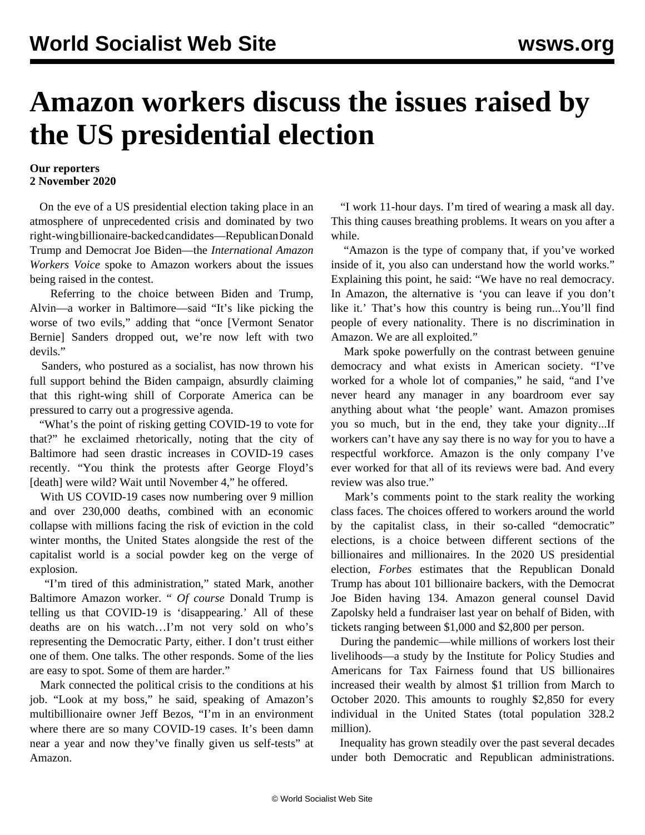## **Amazon workers discuss the issues raised by the US presidential election**

## **Our reporters 2 November 2020**

 On the eve of a US presidential election taking place in an atmosphere of unprecedented crisis and dominated by two right-wing billionaire-backed candidates—Republican Donald Trump and Democrat Joe Biden—the *International Amazon Workers Voice* spoke to Amazon workers about the issues being raised in the contest.

 Referring to the choice between Biden and Trump, Alvin—a worker in Baltimore—said "It's like picking the worse of two evils," adding that "once [Vermont Senator Bernie] Sanders dropped out, we're now left with two devils."

 Sanders, who postured as a socialist, has now thrown his full support behind the Biden campaign, absurdly claiming that this right-wing shill of Corporate America can be pressured to carry out a progressive agenda.

 "What's the point of risking getting COVID-19 to vote for that?" he exclaimed rhetorically, noting that the city of Baltimore had seen drastic increases in COVID-19 cases recently. "You think the protests after George Floyd's [death] were wild? Wait until November 4," he offered.

 With US COVID-19 cases now numbering over 9 million and over 230,000 deaths, combined with an economic collapse with millions facing the risk of eviction in the cold winter months, the United States alongside the rest of the capitalist world is a social powder keg on the verge of explosion.

 "I'm tired of this administration," stated Mark, another Baltimore Amazon worker. " *Of course* Donald Trump is telling us that COVID-19 is 'disappearing.' All of these deaths are on his watch…I'm not very sold on who's representing the Democratic Party, either. I don't trust either one of them. One talks. The other responds. Some of the lies are easy to spot. Some of them are harder."

 Mark connected the political crisis to the conditions at his job. "Look at my boss," he said, speaking of Amazon's multibillionaire owner Jeff Bezos, "I'm in an environment where there are so many COVID-19 cases. It's been damn near a year and now they've finally given us self-tests" at Amazon.

 "I work 11-hour days. I'm tired of wearing a mask all day. This thing causes breathing problems. It wears on you after a while.

 "Amazon is the type of company that, if you've worked inside of it, you also can understand how the world works." Explaining this point, he said: "We have no real democracy. In Amazon, the alternative is 'you can leave if you don't like it.' That's how this country is being run...You'll find people of every nationality. There is no discrimination in Amazon. We are all exploited."

 Mark spoke powerfully on the contrast between genuine democracy and what exists in American society. "I've worked for a whole lot of companies," he said, "and I've never heard any manager in any boardroom ever say anything about what 'the people' want. Amazon promises you so much, but in the end, they take your dignity...If workers can't have any say there is no way for you to have a respectful workforce. Amazon is the only company I've ever worked for that all of its reviews were bad. And every review was also true."

 Mark's comments point to the stark reality the working class faces. The choices offered to workers around the world by the capitalist class, in their so-called "democratic" elections, is a choice between different sections of the billionaires and millionaires. In the 2020 US presidential election, *Forbes* estimates that the Republican Donald Trump has about 101 billionaire backers, with the Democrat Joe Biden having 134. Amazon general counsel David Zapolsky held a fundraiser last year on behalf of Biden, with tickets ranging between \$1,000 and \$2,800 per person.

 During the pandemic—while millions of workers lost their livelihoods—a study by the Institute for Policy Studies and Americans for Tax Fairness found that US billionaires increased their wealth by almost \$1 trillion from March to October 2020. This amounts to roughly \$2,850 for every individual in the United States (total population 328.2 million).

 Inequality has grown steadily over the past several decades under both Democratic and Republican administrations.